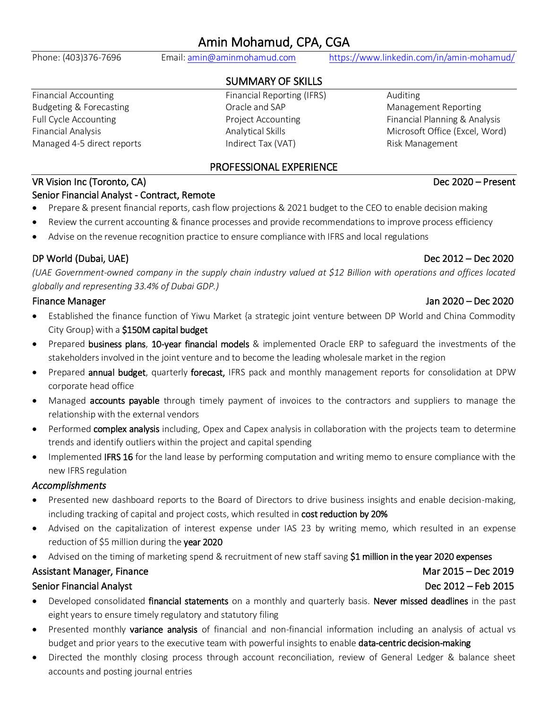## Amin Mohamud, CPA, CGA

Phone: (403)376-7696 Email[: amin@aminmohamud.com](mailto:amin@aminmohamud.com) <https://www.linkedin.com/in/amin-mohamud/>

### SUMMARY OF SKILLS

Financial Accounting The Reporting Communical Reporting (IFRS) Auditing Budgeting & Forecasting The Controller Coracle and SAP The Management Reporting Managed 4-5 direct reports **Indirect Tax (VAT)** Risk Management

# Full Cycle Accounting The Review Project Accounting Financial Planning & Analysis Financial Analysis Analytical Skills Microsoft Office (Excel, Word)

### PROFESSIONAL EXPERIENCE

### VR Vision Inc (Toronto, CA) and the control of the control of the control of the Dec 2020 – Present

### Senior Financial Analyst - Contract, Remote

- Prepare & present financial reports, cash flow projections & 2021 budget to the CEO to enable decision making
- Review the current accounting & finance processes and provide recommendations to improve process efficiency
- Advise on the revenue recognition practice to ensure compliance with IFRS and local regulations

### DP World (Dubai, UAE) Dec 2012 – Dec 2020

*(UAE Government-owned company in the supply chain industry valued at \$12 Billion with operations and offices located globally and representing 33.4% of Dubai GDP.)*

- Established the finance function of Yiwu Market {a strategic joint venture between DP World and China Commodity City Group} with a \$150M capital budget
- Prepared business plans, 10-year financial models & implemented Oracle ERP to safeguard the investments of the stakeholders involved in the joint venture and to become the leading wholesale market in the region
- Prepared **annual budget**, quarterly forecast, IFRS pack and monthly management reports for consolidation at DPW corporate head office
- Managed **accounts payable** through timely payment of invoices to the contractors and suppliers to manage the relationship with the external vendors
- Performed complex analysis including, Opex and Capex analysis in collaboration with the projects team to determine trends and identify outliers within the project and capital spending
- Implemented IFRS 16 for the land lease by performing computation and writing memo to ensure compliance with the new IFRS regulation

### *Accomplishments*

- Presented new dashboard reports to the Board of Directors to drive business insights and enable decision-making, including tracking of capital and project costs, which resulted in cost reduction by 20%
- Advised on the capitalization of interest expense under IAS 23 by writing memo, which resulted in an expense reduction of \$5 million during the year 2020
- Advised on the timing of marketing spend & recruitment of new staff saving \$1 million in the year 2020 expenses

### Assistant Manager, Finance **Mar 2015** – Dec 2019

### Senior Financial Analyst **Dec 2012** – Feb 2015

- Developed consolidated financial statements on a monthly and quarterly basis. Never missed deadlines in the past eight years to ensure timely regulatory and statutory filing
- Presented monthly variance analysis of financial and non-financial information including an analysis of actual vs budget and prior years to the executive team with powerful insights to enable **data-centric decision-making**
- Directed the monthly closing process through account reconciliation, review of General Ledger & balance sheet accounts and posting journal entries

### Finance Manager Jan 2020 – Dec 2020